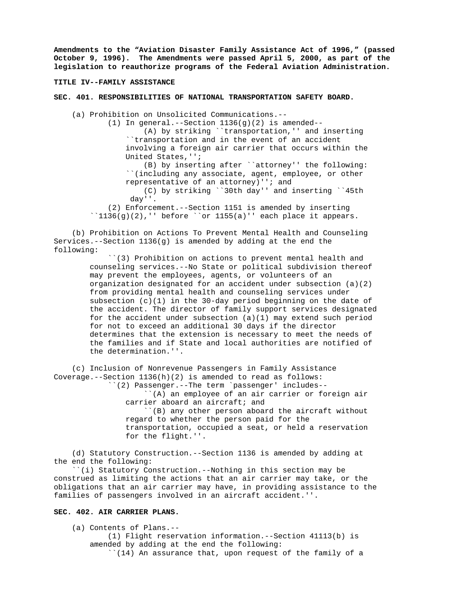**Amendments to the "Aviation Disaster Family Assistance Act of 1996," (passed October 9, 1996). The Amendments were passed April 5, 2000, as part of the legislation to reauthorize programs of the Federal Aviation Administration.**

#### **TITLE IV--FAMILY ASSISTANCE**

# **SEC. 401. RESPONSIBILITIES OF NATIONAL TRANSPORTATION SAFETY BOARD.**

(a) Prohibition on Unsolicited Communications.--

 (1) In general.--Section 1136(g)(2) is amended-- (A) by striking ``transportation,'' and inserting ``transportation and in the event of an accident

 involving a foreign air carrier that occurs within the United States,'';

 (B) by inserting after ``attorney'' the following: ``(including any associate, agent, employee, or other representative of an attorney)''; and

 (C) by striking ``30th day'' and inserting ``45th day''.

 (2) Enforcement.--Section 1151 is amended by inserting ``1136(g)(2),'' before ``or 1155(a)'' each place it appears.

 (b) Prohibition on Actions To Prevent Mental Health and Counseling Services.--Section 1136(g) is amended by adding at the end the following:

> ``(3) Prohibition on actions to prevent mental health and counseling services.--No State or political subdivision thereof may prevent the employees, agents, or volunteers of an organization designated for an accident under subsection  $(a)(2)$  from providing mental health and counseling services under subsection  $(c)(1)$  in the 30-day period beginning on the date of the accident. The director of family support services designated for the accident under subsection (a)(1) may extend such period for not to exceed an additional 30 days if the director determines that the extension is necessary to meet the needs of the families and if State and local authorities are notified of the determination.''.

 (c) Inclusion of Nonrevenue Passengers in Family Assistance Coverage.--Section  $1136(h)(2)$  is amended to read as follows: ``(2) Passenger.--The term `passenger' includes--

> ``(A) an employee of an air carrier or foreign air carrier aboard an aircraft; and

> ``(B) any other person aboard the aircraft without regard to whether the person paid for the transportation, occupied a seat, or held a reservation for the flight.''.

 (d) Statutory Construction.--Section 1136 is amended by adding at the end the following:

 ``(i) Statutory Construction.--Nothing in this section may be construed as limiting the actions that an air carrier may take, or the obligations that an air carrier may have, in providing assistance to the families of passengers involved in an aircraft accident.''.

# **SEC. 402. AIR CARRIER PLANS.**

 (a) Contents of Plans.-- (1) Flight reservation information.--Section 41113(b) is amended by adding at the end the following: ``(14) An assurance that, upon request of the family of a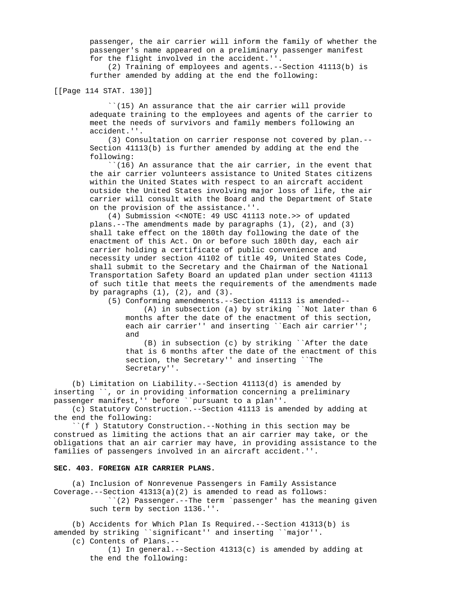passenger, the air carrier will inform the family of whether the passenger's name appeared on a preliminary passenger manifest for the flight involved in the accident.''.

 (2) Training of employees and agents.--Section 41113(b) is further amended by adding at the end the following:

[[Page 114 STAT. 130]]

 ``(15) An assurance that the air carrier will provide adequate training to the employees and agents of the carrier to meet the needs of survivors and family members following an accident.''.

 (3) Consultation on carrier response not covered by plan.-- Section 41113(b) is further amended by adding at the end the following:

 ``(16) An assurance that the air carrier, in the event that the air carrier volunteers assistance to United States citizens within the United States with respect to an aircraft accident outside the United States involving major loss of life, the air carrier will consult with the Board and the Department of State on the provision of the assistance.''.

 (4) Submission <<NOTE: 49 USC 41113 note.>> of updated plans.--The amendments made by paragraphs (1), (2), and (3) shall take effect on the 180th day following the date of the enactment of this Act. On or before such 180th day, each air carrier holding a certificate of public convenience and necessity under section 41102 of title 49, United States Code, shall submit to the Secretary and the Chairman of the National Transportation Safety Board an updated plan under section 41113 of such title that meets the requirements of the amendments made by paragraphs  $(1)$ ,  $(2)$ , and  $(3)$ .

(5) Conforming amendments.--Section 41113 is amended--

 (A) in subsection (a) by striking ``Not later than 6 months after the date of the enactment of this section, each air carrier'' and inserting ``Each air carrier''; and

 (B) in subsection (c) by striking ``After the date that is 6 months after the date of the enactment of this section, the Secretary'' and inserting ``The Secretary''.

 (b) Limitation on Liability.--Section 41113(d) is amended by inserting ``, or in providing information concerning a preliminary passenger manifest,'' before ``pursuant to a plan''.

 (c) Statutory Construction.--Section 41113 is amended by adding at the end the following:

 ``(f ) Statutory Construction.--Nothing in this section may be construed as limiting the actions that an air carrier may take, or the obligations that an air carrier may have, in providing assistance to the families of passengers involved in an aircraft accident.''.

# **SEC. 403. FOREIGN AIR CARRIER PLANS.**

 (a) Inclusion of Nonrevenue Passengers in Family Assistance Coverage.--Section 41313(a)(2) is amended to read as follows: ``(2) Passenger.--The term `passenger' has the meaning given such term by section 1136.''.

 (b) Accidents for Which Plan Is Required.--Section 41313(b) is amended by striking ``significant'' and inserting ``major''. (c) Contents of Plans.--

 (1) In general.--Section 41313(c) is amended by adding at the end the following: